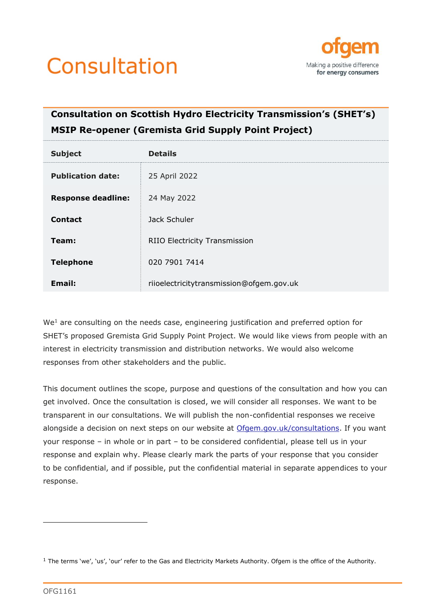



# **Consultation on Scottish Hydro Electricity Transmission's (SHET's) MSIP Re-opener (Gremista Grid Supply Point Project)**

| <b>Subject</b>            | <b>Details</b>                           |
|---------------------------|------------------------------------------|
| <b>Publication date:</b>  | 25 April 2022                            |
| <b>Response deadline:</b> | 24 May 2022                              |
| <b>Contact</b>            | Jack Schuler                             |
| Team:                     | <b>RIIO Electricity Transmission</b>     |
| <b>Telephone</b>          | 020 7901 7414                            |
| Email:                    | riioelectricitytransmission@ofgem.gov.uk |

We<sup>1</sup> are consulting on the needs case, engineering justification and preferred option for SHET's proposed Gremista Grid Supply Point Project. We would like views from people with an interest in electricity transmission and distribution networks. We would also welcome responses from other stakeholders and the public.

This document outlines the scope, purpose and questions of the consultation and how you can get involved. Once the consultation is closed, we will consider all responses. We want to be transparent in our consultations. We will publish the non-confidential responses we receive alongside a decision on next steps on our website at [Ofgem.gov.uk/consultations.](https://www.ofgem.gov.uk/consultations) If you want your response – in whole or in part – to be considered confidential, please tell us in your response and explain why. Please clearly mark the parts of your response that you consider to be confidential, and if possible, put the confidential material in separate appendices to your response.

 $1$  The terms 'we', 'us', 'our' refer to the Gas and Electricity Markets Authority. Ofgem is the office of the Authority.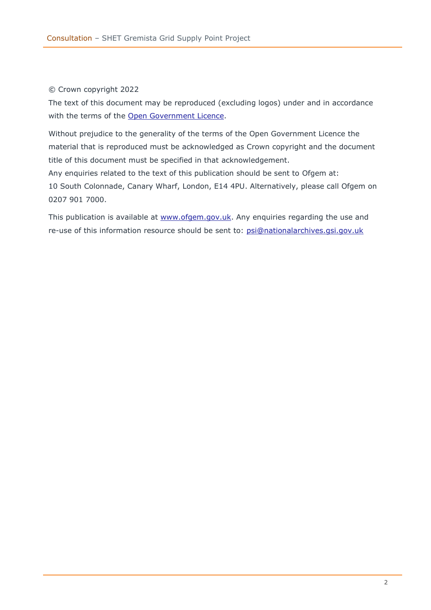#### © Crown copyright 2022

The text of this document may be reproduced (excluding logos) under and in accordance with the terms of the [Open Government Licence.](http://www.nationalarchives.gov.uk/doc/open-government-licence/version/3/)

Without prejudice to the generality of the terms of the Open Government Licence the material that is reproduced must be acknowledged as Crown copyright and the document title of this document must be specified in that acknowledgement.

Any enquiries related to the text of this publication should be sent to Ofgem at: 10 South Colonnade, Canary Wharf, London, E14 4PU. Alternatively, please call Ofgem on 0207 901 7000.

This publication is available at [www.ofgem.gov.uk.](http://www.ofgem.gov.uk/) Any enquiries regarding the use and re-use of this information resource should be sent to: [psi@nationalarchives.gsi.gov.uk](mailto:psi@nationalarchives.gsi.gov.uk)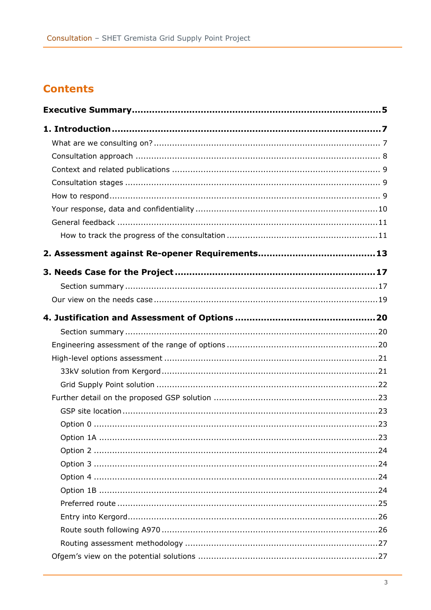# **Contents**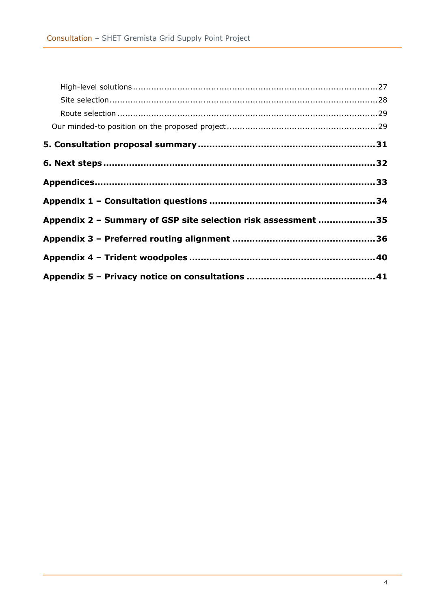| Appendix 2 - Summary of GSP site selection risk assessment 35 |  |
|---------------------------------------------------------------|--|
|                                                               |  |
|                                                               |  |
|                                                               |  |
|                                                               |  |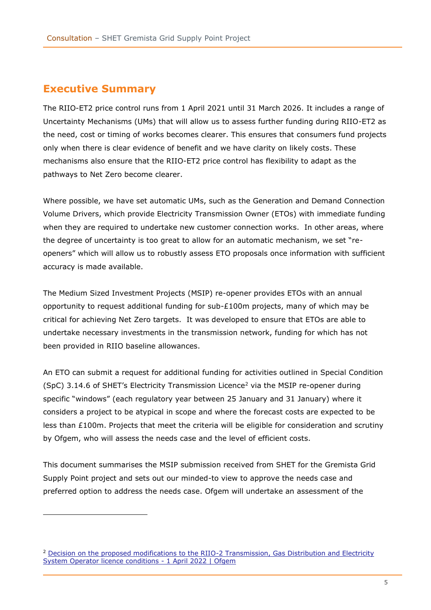### <span id="page-4-0"></span>**Executive Summary**

The RIIO-ET2 price control runs from 1 April 2021 until 31 March 2026. It includes a range of Uncertainty Mechanisms (UMs) that will allow us to assess further funding during RIIO-ET2 as the need, cost or timing of works becomes clearer. This ensures that consumers fund projects only when there is clear evidence of benefit and we have clarity on likely costs. These mechanisms also ensure that the RIIO-ET2 price control has flexibility to adapt as the pathways to Net Zero become clearer.

Where possible, we have set automatic UMs, such as the Generation and Demand Connection Volume Drivers, which provide Electricity Transmission Owner (ETOs) with immediate funding when they are required to undertake new customer connection works. In other areas, where the degree of uncertainty is too great to allow for an automatic mechanism, we set "reopeners" which will allow us to robustly assess ETO proposals once information with sufficient accuracy is made available.

The Medium Sized Investment Projects (MSIP) re-opener provides ETOs with an annual opportunity to request additional funding for sub-£100m projects, many of which may be critical for achieving Net Zero targets. It was developed to ensure that ETOs are able to undertake necessary investments in the transmission network, funding for which has not been provided in RIIO baseline allowances.

An ETO can submit a request for additional funding for activities outlined in Special Condition  $(SpC)$  3.14.6 of SHET's Electricity Transmission Licence<sup>2</sup> via the MSIP re-opener during specific "windows" (each regulatory year between 25 January and 31 January) where it considers a project to be atypical in scope and where the forecast costs are expected to be less than £100m. Projects that meet the criteria will be eligible for consideration and scrutiny by Ofgem, who will assess the needs case and the level of efficient costs.

This document summarises the MSIP submission received from SHET for the Gremista Grid Supply Point project and sets out our minded-to view to approve the needs case and preferred option to address the needs case. Ofgem will undertake an assessment of the

<sup>&</sup>lt;sup>2</sup> Decision on the proposed modifications to the RIIO-2 Transmission, Gas Distribution and Electricity [System Operator licence conditions -](https://www.ofgem.gov.uk/publications/decision-proposed-modifications-riio-2-transmission-gas-distribution-and-electricity-system-operator-licence-conditions-1-april-2022) 1 April 2022 | Ofgem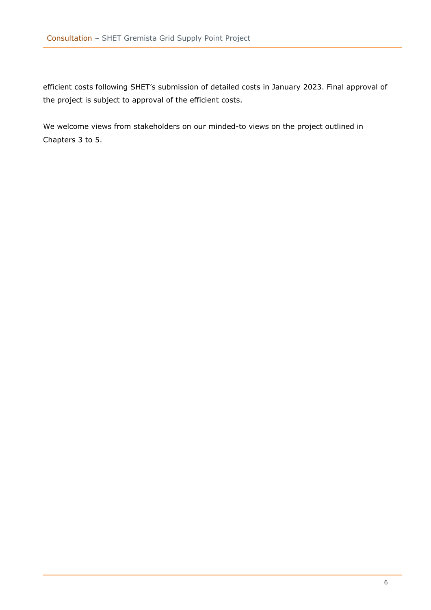efficient costs following SHET's submission of detailed costs in January 2023. Final approval of the project is subject to approval of the efficient costs.

We welcome views from stakeholders on our minded-to views on the project outlined in Chapters 3 to 5.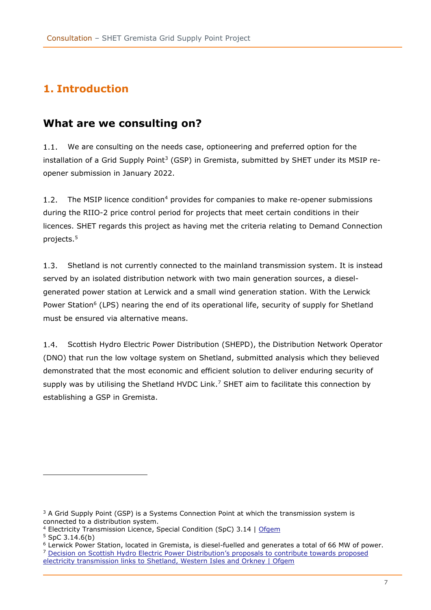# <span id="page-6-0"></span>**1. Introduction**

## <span id="page-6-1"></span>**What are we consulting on?**

We are consulting on the needs case, optioneering and preferred option for the  $1.1.$ installation of a Grid Supply Point<sup>3</sup> (GSP) in Gremista, submitted by SHET under its MSIP reopener submission in January 2022.

 $1.2.$ The MSIP licence condition<sup>4</sup> provides for companies to make re-opener submissions during the RIIO-2 price control period for projects that meet certain conditions in their licences. SHET regards this project as having met the criteria relating to Demand Connection projects. 5

 $1.3.$ Shetland is not currently connected to the mainland transmission system. It is instead served by an isolated distribution network with two main generation sources, a dieselgenerated power station at Lerwick and a small wind generation station. With the Lerwick Power Station<sup>6</sup> (LPS) nearing the end of its operational life, security of supply for Shetland must be ensured via alternative means.

 $1.4.$ Scottish Hydro Electric Power Distribution (SHEPD), the Distribution Network Operator (DNO) that run the low voltage system on Shetland, submitted analysis which they believed demonstrated that the most economic and efficient solution to deliver enduring security of supply was by utilising the Shetland HVDC Link.<sup>7</sup> SHET aim to facilitate this connection by establishing a GSP in Gremista.

 $3$  A Grid Supply Point (GSP) is a Systems Connection Point at which the transmission system is connected to a distribution system.

<sup>4</sup> [Electricity Transmission Licence,](https://www.ofgem.gov.uk/publications/decision-proposed-modifications-riio-2-transmission-gas-distribution-and-electricity-system-operator-licence-conditions-1-april-2022) Special Condition (SpC) 3.14 | Ofgem

 $5$  SpC 3.14.6(b)

<sup>6</sup> Lerwick Power Station, located in Gremista, is diesel-fuelled and generates a total of 66 MW of power. <sup>7</sup> [Decision on Scottish Hydro Electric Power Distribution's proposals to contribute towards proposed](https://www.ofgem.gov.uk/publications/decision-scottish-hydro-electric-power-distributions-proposals-contribute-towards-proposed-electricity-transmission-links-shetland-western-isles-and-orkney) 

[electricity transmission links to Shetland, Western Isles and Orkney | Ofgem](https://www.ofgem.gov.uk/publications/decision-scottish-hydro-electric-power-distributions-proposals-contribute-towards-proposed-electricity-transmission-links-shetland-western-isles-and-orkney)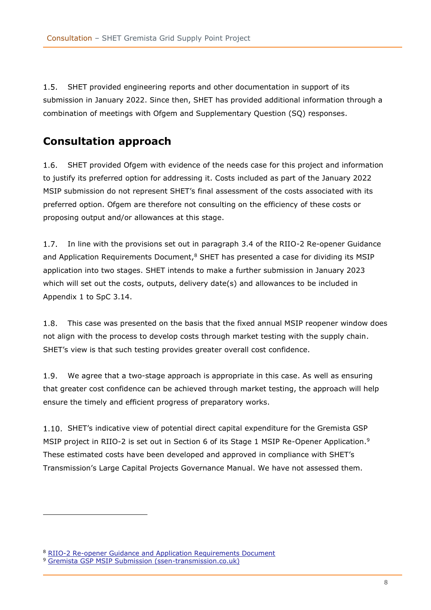$1.5.$ SHET provided engineering reports and other documentation in support of its submission in January 2022. Since then, SHET has provided additional information through a combination of meetings with Ofgem and Supplementary Question (SQ) responses.

### <span id="page-7-0"></span>**Consultation approach**

 $1.6.$ SHET provided Ofgem with evidence of the needs case for this project and information to justify its preferred option for addressing it. Costs included as part of the January 2022 MSIP submission do not represent SHET's final assessment of the costs associated with its preferred option. Ofgem are therefore not consulting on the efficiency of these costs or proposing output and/or allowances at this stage.

In line with the provisions set out in paragraph 3.4 of the RIIO-2 Re-opener Guidance  $1.7.$ and Application Requirements Document, $8$  SHET has presented a case for dividing its MSIP application into two stages. SHET intends to make a further submission in January 2023 which will set out the costs, outputs, delivery date(s) and allowances to be included in Appendix 1 to SpC 3.14.

 $1.8.$ This case was presented on the basis that the fixed annual MSIP reopener window does not align with the process to develop costs through market testing with the supply chain. SHET's view is that such testing provides greater overall cost confidence.

 $1.9.$ We agree that a two-stage approach is appropriate in this case. As well as ensuring that greater cost confidence can be achieved through market testing, the approach will help ensure the timely and efficient progress of preparatory works.

1.10. SHET's indicative view of potential direct capital expenditure for the Gremista GSP MSIP project in RIIO-2 is set out in Section 6 of its Stage 1 MSIP Re-Opener Application.<sup>9</sup> These estimated costs have been developed and approved in compliance with SHET's Transmission's Large Capital Projects Governance Manual. We have not assessed them.

<sup>8</sup> [RIIO-2 Re-opener Guidance and Application Requirements Document](https://www.ofgem.gov.uk/sites/default/files/2022-02/Re-opener%20Guidance%20And%20Application%20Requirements%20Document%20Version%202.pdf)

<sup>9</sup> [Gremista GSP MSIP Submission \(ssen-transmission.co.uk\)](https://www.ssen-transmission.co.uk/media/6290/redact-version-gremista-gsp-msip-submission-fully-redacted-for-publication-07_02_22.pdf#page=24)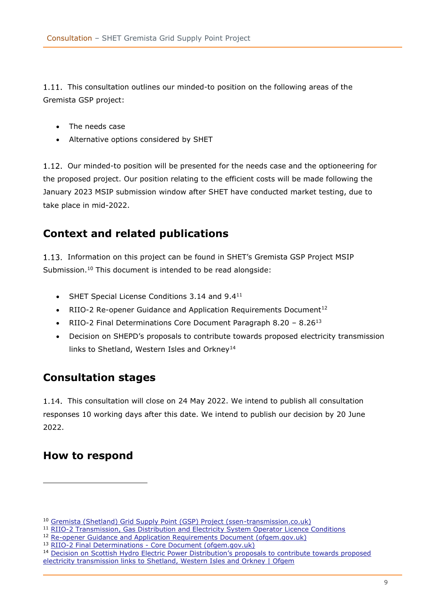1.11. This consultation outlines our minded-to position on the following areas of the Gremista GSP project:

- The needs case
- Alternative options considered by SHET

1.12. Our minded-to position will be presented for the needs case and the optioneering for the proposed project. Our position relating to the efficient costs will be made following the January 2023 MSIP submission window after SHET have conducted market testing, due to take place in mid-2022.

# <span id="page-8-0"></span>**Context and related publications**

1.13. Information on this project can be found in SHET's Gremista GSP Project MSIP Submission.<sup>10</sup> This document is intended to be read alongside:

- SHET Special License Conditions 3.14 and 9.411
- RIIO-2 Re-opener Guidance and Application Requirements Document<sup>12</sup>
- RIIO-2 Final Determinations Core Document Paragraph 8.20 8.26<sup>13</sup>
- Decision on SHEPD's proposals to contribute towards proposed electricity transmission links to Shetland, Western Isles and Orkney<sup>14</sup>

# <span id="page-8-1"></span>**Consultation stages**

1.14. This consultation will close on 24 May 2022. We intend to publish all consultation responses 10 working days after this date. We intend to publish our decision by 20 June 2022.

# <span id="page-8-2"></span>**How to respond**

<sup>10</sup> [Gremista \(Shetland\) Grid Supply Point \(GSP\) Project \(ssen-transmission.co.uk\)](https://www.ssen-transmission.co.uk/riio-t2-plan-and-uncertainty-mechanisms/medium-sized-investment-projects-msip/gremista-shetland-grid-supply-point-gsp-project/)

<sup>11</sup> [RIIO-2 Transmission, Gas Distribution and Electricity System Operator Licence Conditions](https://www.ofgem.gov.uk/sites/default/files/2022-02/Licence%20Conditions%20-%20Zip%20File.zip)

<sup>&</sup>lt;sup>12</sup> [Re-opener Guidance and Application Requirements Document \(ofgem.gov.uk\)](https://www.ofgem.gov.uk/sites/default/files/2022-02/Re-opener%20Guidance%20And%20Application%20Requirements%20Document%20Version%202.pdf)

<sup>13</sup> RIIO-2 Final Determinations - [Core Document \(ofgem.gov.uk\)](https://www.ofgem.gov.uk/sites/default/files/docs/2020/12/final_determinations_-_core_document.pdf#page=91)

<sup>&</sup>lt;sup>14</sup> Decision on Scottish Hydro Electric Power Distribution's proposals to contribute towards proposed [electricity transmission links to Shetland, Western Isles and Orkney | Ofgem](https://www.ofgem.gov.uk/publications/decision-scottish-hydro-electric-power-distributions-proposals-contribute-towards-proposed-electricity-transmission-links-shetland-western-isles-and-orkney)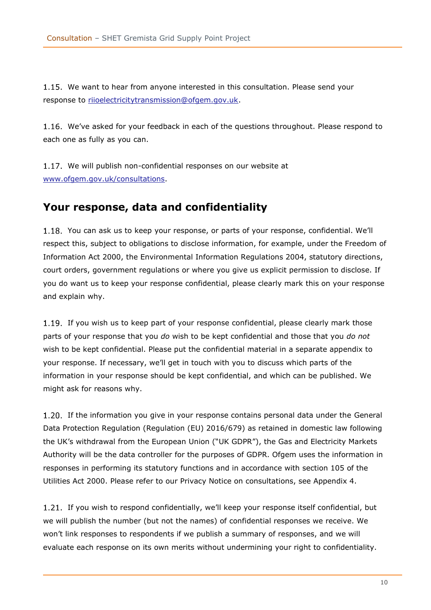We want to hear from anyone interested in this consultation. Please send your response to [riioelectricitytransmission@ofgem.gov.uk.](mailto:riioelectricitytransmission@ofgem.gov.uk)

1.16. We've asked for your feedback in each of the questions throughout. Please respond to each one as fully as you can.

1.17. We will publish non-confidential responses on our website at [www.ofgem.gov.uk/consultations.](http://www.ofgem.gov.uk/consultations)

### <span id="page-9-0"></span>**Your response, data and confidentiality**

1.18. You can ask us to keep your response, or parts of your response, confidential. We'll respect this, subject to obligations to disclose information, for example, under the Freedom of Information Act 2000, the Environmental Information Regulations 2004, statutory directions, court orders, government regulations or where you give us explicit permission to disclose. If you do want us to keep your response confidential, please clearly mark this on your response and explain why.

1.19. If you wish us to keep part of your response confidential, please clearly mark those parts of your response that you *do* wish to be kept confidential and those that you *do not* wish to be kept confidential. Please put the confidential material in a separate appendix to your response. If necessary, we'll get in touch with you to discuss which parts of the information in your response should be kept confidential, and which can be published. We might ask for reasons why.

1.20. If the information you give in your response contains personal data under the General Data Protection Regulation (Regulation (EU) 2016/679) as retained in domestic law following the UK's withdrawal from the European Union ("UK GDPR"), the Gas and Electricity Markets Authority will be the data controller for the purposes of GDPR. Ofgem uses the information in responses in performing its statutory functions and in accordance with section 105 of the Utilities Act 2000. Please refer to our Privacy Notice on consultations, see Appendix 4.

1.21. If you wish to respond confidentially, we'll keep your response itself confidential, but we will publish the number (but not the names) of confidential responses we receive. We won't link responses to respondents if we publish a summary of responses, and we will evaluate each response on its own merits without undermining your right to confidentiality.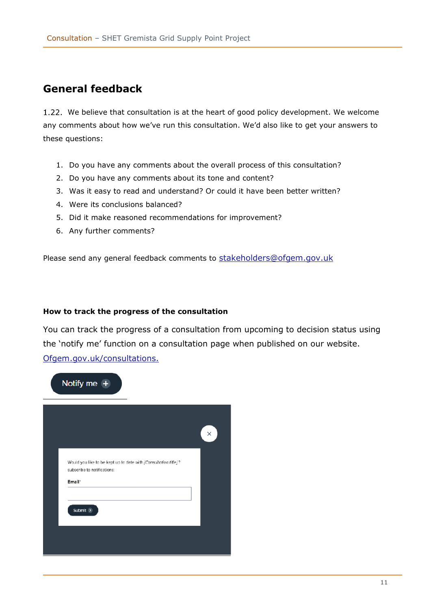## <span id="page-10-0"></span>**General feedback**

We believe that consultation is at the heart of good policy development. We welcome any comments about how we've run this consultation. We'd also like to get your answers to these questions:

- 1. Do you have any comments about the overall process of this consultation?
- 2. Do you have any comments about its tone and content?
- 3. Was it easy to read and understand? Or could it have been better written?
- 4. Were its conclusions balanced?
- 5. Did it make reasoned recommendations for improvement?
- 6. Any further comments?

Please send any general feedback comments to [stakeholders@ofgem.gov.uk](mailto:stakeholders@ofgem.gov.uk)

#### <span id="page-10-1"></span>**How to track the progress of the consultation**

You can track the progress of a consultation from upcoming to decision status using the 'notify me' function on a consultation page when published on our website. [Ofgem.gov.uk/consultations.](http://www.ofgem.gov.uk/consultations)

|                             |                                                                 | $\times$ |
|-----------------------------|-----------------------------------------------------------------|----------|
|                             |                                                                 |          |
| subscribe to notifications: | Would you like to be kept up to date with (Consultation title)? |          |
| Email <sup>*</sup>          |                                                                 |          |
|                             |                                                                 |          |
| Submit $\rightarrow$        |                                                                 |          |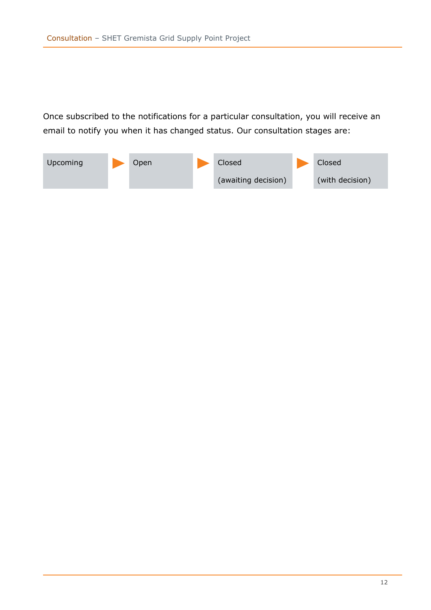Once subscribed to the notifications for a particular consultation, you will receive an email to notify you when it has changed status. Our consultation stages are:

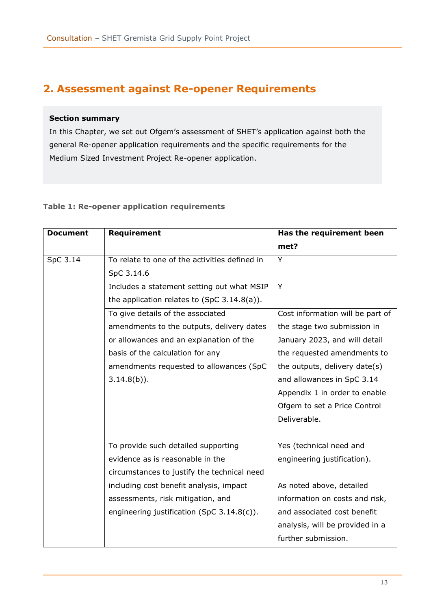# <span id="page-12-0"></span>**2. Assessment against Re-opener Requirements**

#### **Section summary**

In this Chapter, we set out Ofgem's assessment of SHET's application against both the general Re-opener application requirements and the specific requirements for the Medium Sized Investment Project Re-opener application.

#### **Table 1: Re-opener application requirements**

| <b>Document</b> | <b>Requirement</b>                            | Has the requirement been         |
|-----------------|-----------------------------------------------|----------------------------------|
|                 |                                               | met?                             |
| SpC 3.14        | To relate to one of the activities defined in | Y                                |
|                 | SpC 3.14.6                                    |                                  |
|                 | Includes a statement setting out what MSIP    | Y                                |
|                 | the application relates to $(SpC 3.14.8(a)).$ |                                  |
|                 | To give details of the associated             | Cost information will be part of |
|                 | amendments to the outputs, delivery dates     | the stage two submission in      |
|                 | or allowances and an explanation of the       | January 2023, and will detail    |
|                 | basis of the calculation for any              | the requested amendments to      |
|                 | amendments requested to allowances (SpC       | the outputs, delivery date(s)    |
|                 | $3.14.8(b)$ ).                                | and allowances in SpC 3.14       |
|                 |                                               | Appendix 1 in order to enable    |
|                 |                                               | Ofgem to set a Price Control     |
|                 |                                               | Deliverable.                     |
|                 |                                               |                                  |
|                 | To provide such detailed supporting           | Yes (technical need and          |
|                 | evidence as is reasonable in the              | engineering justification).      |
|                 | circumstances to justify the technical need   |                                  |
|                 | including cost benefit analysis, impact       | As noted above, detailed         |
|                 | assessments, risk mitigation, and             | information on costs and risk,   |
|                 | engineering justification (SpC 3.14.8(c)).    | and associated cost benefit      |
|                 |                                               | analysis, will be provided in a  |
|                 |                                               | further submission.              |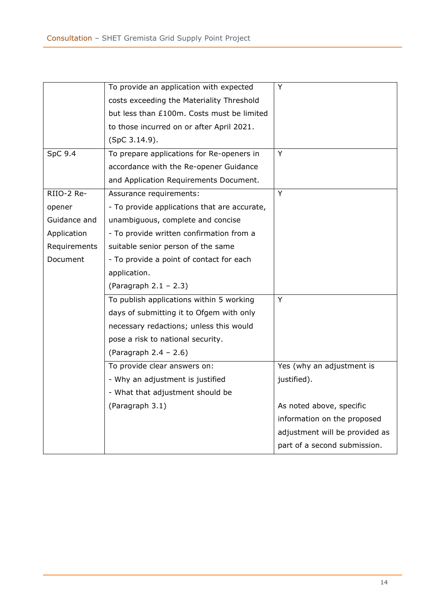|              | To provide an application with expected      | Y                              |
|--------------|----------------------------------------------|--------------------------------|
|              | costs exceeding the Materiality Threshold    |                                |
|              | but less than £100m. Costs must be limited   |                                |
|              | to those incurred on or after April 2021.    |                                |
|              | (SpC 3.14.9).                                |                                |
| $SpC$ 9.4    | To prepare applications for Re-openers in    | Y                              |
|              | accordance with the Re-opener Guidance       |                                |
|              | and Application Requirements Document.       |                                |
| RIIO-2 Re-   | Assurance requirements:                      | Y                              |
| opener       | - To provide applications that are accurate, |                                |
| Guidance and | unambiguous, complete and concise            |                                |
| Application  | - To provide written confirmation from a     |                                |
| Requirements | suitable senior person of the same           |                                |
| Document     | - To provide a point of contact for each     |                                |
|              | application.                                 |                                |
|              | (Paragraph $2.1 - 2.3$ )                     |                                |
|              | To publish applications within 5 working     | Y                              |
|              | days of submitting it to Ofgem with only     |                                |
|              | necessary redactions; unless this would      |                                |
|              | pose a risk to national security.            |                                |
|              | (Paragraph $2.4 - 2.6$ )                     |                                |
|              | To provide clear answers on:                 | Yes (why an adjustment is      |
|              | - Why an adjustment is justified             | justified).                    |
|              | - What that adjustment should be             |                                |
|              | (Paragraph 3.1)                              | As noted above, specific       |
|              |                                              | information on the proposed    |
|              |                                              | adjustment will be provided as |
|              |                                              | part of a second submission.   |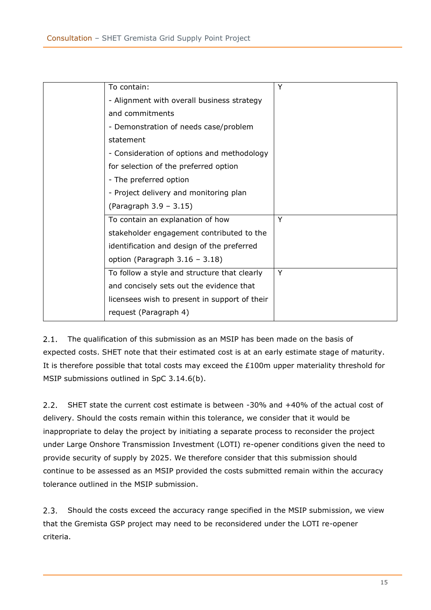| To contain:                                   | Y |
|-----------------------------------------------|---|
| - Alignment with overall business strategy    |   |
| and commitments                               |   |
| - Demonstration of needs case/problem         |   |
| statement                                     |   |
| - Consideration of options and methodology    |   |
| for selection of the preferred option         |   |
| - The preferred option                        |   |
| - Project delivery and monitoring plan        |   |
|                                               |   |
| (Paragraph 3.9 - 3.15)                        |   |
| To contain an explanation of how              | Y |
| stakeholder engagement contributed to the     |   |
| identification and design of the preferred    |   |
| option (Paragraph $3.16 - 3.18$ )             |   |
| To follow a style and structure that clearly  | Y |
| and concisely sets out the evidence that      |   |
| licensees wish to present in support of their |   |

The qualification of this submission as an MSIP has been made on the basis of  $2.1.$ expected costs. SHET note that their estimated cost is at an early estimate stage of maturity. It is therefore possible that total costs may exceed the £100m upper materiality threshold for MSIP submissions outlined in SpC 3.14.6(b).

SHET state the current cost estimate is between -30% and +40% of the actual cost of  $2.2.$ delivery. Should the costs remain within this tolerance, we consider that it would be inappropriate to delay the project by initiating a separate process to reconsider the project under Large Onshore Transmission Investment (LOTI) re-opener conditions given the need to provide security of supply by 2025. We therefore consider that this submission should continue to be assessed as an MSIP provided the costs submitted remain within the accuracy tolerance outlined in the MSIP submission.

 $2.3.$ Should the costs exceed the accuracy range specified in the MSIP submission, we view that the Gremista GSP project may need to be reconsidered under the LOTI re-opener criteria.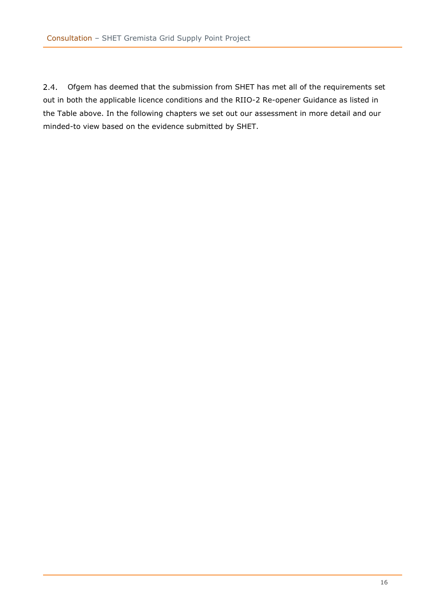$2.4.$ Ofgem has deemed that the submission from SHET has met all of the requirements set out in both the applicable licence conditions and the RIIO-2 Re-opener Guidance as listed in the Table above. In the following chapters we set out our assessment in more detail and our minded-to view based on the evidence submitted by SHET.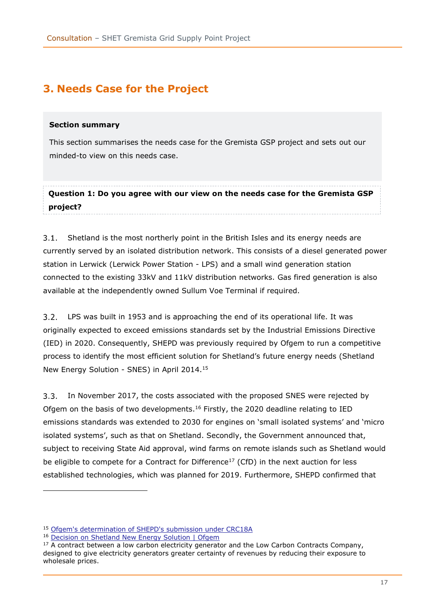# <span id="page-16-0"></span>**3. Needs Case for the Project**

#### <span id="page-16-1"></span>**Section summary**

This section summarises the needs case for the Gremista GSP project and sets out our minded-to view on this needs case.

**Question 1: Do you agree with our view on the needs case for the Gremista GSP project?**

 $3.1.$ Shetland is the most northerly point in the British Isles and its energy needs are currently served by an isolated distribution network. This consists of a diesel generated power station in Lerwick (Lerwick Power Station - LPS) and a small wind generation station connected to the existing 33kV and 11kV distribution networks. Gas fired generation is also available at the independently owned Sullum Voe Terminal if required.

 $3.2.$ LPS was built in 1953 and is approaching the end of its operational life. It was originally expected to exceed emissions standards set by the Industrial Emissions Directive (IED) in 2020. Consequently, SHEPD was previously required by Ofgem to run a competitive process to identify the most efficient solution for Shetland's future energy needs (Shetland New Energy Solution - SNES) in April 2014.<sup>15</sup>

In November 2017, the costs associated with the proposed SNES were rejected by Ofgem on the basis of two developments.<sup>16</sup> Firstly, the 2020 deadline relating to IED emissions standards was extended to 2030 for engines on 'small isolated systems' and 'micro isolated systems', such as that on Shetland. Secondly, the Government announced that, subject to receiving State Aid approval, wind farms on remote islands such as Shetland would be eligible to compete for a Contract for Difference<sup>17</sup> (CfD) in the next auction for less established technologies, which was planned for 2019. Furthermore, SHEPD confirmed that

<sup>15</sup> [Ofgem's determination of SHEPD's submission under CRC18A](https://www.ofgem.gov.uk/sites/default/files/docs/2014/04/ofgem_determination_of_shepd_submission_under_crc18a_0.pdf)

<sup>16</sup> [Decision on Shetland New Energy Solution | Ofgem](https://www.ofgem.gov.uk/publications/decision-shetland-new-energy-solution)

 $17$  A contract between a low carbon electricity generator and the Low Carbon Contracts Company, designed to give electricity generators greater certainty of revenues by reducing their exposure to wholesale prices.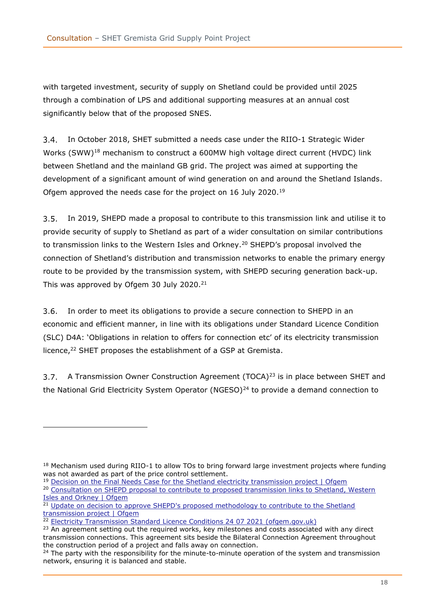with targeted investment, security of supply on Shetland could be provided until 2025 through a combination of LPS and additional supporting measures at an annual cost significantly below that of the proposed SNES.

In October 2018, SHET submitted a needs case under the RIIO-1 Strategic Wider Works (SWW)<sup>18</sup> mechanism to construct a 600MW high voltage direct current (HVDC) link between Shetland and the mainland GB grid. The project was aimed at supporting the development of a significant amount of wind generation on and around the Shetland Islands. Ofgem approved the needs case for the project on 16 July 2020.<sup>19</sup>

<span id="page-17-0"></span> $3.5.$ In 2019, SHEPD made a proposal to contribute to this transmission link and utilise it to provide security of supply to Shetland as part of a wider consultation on similar contributions to transmission links to the Western Isles and Orkney.<sup>20</sup> SHEPD's proposal involved the connection of Shetland's distribution and transmission networks to enable the primary energy route to be provided by the transmission system, with SHEPD securing generation back-up. This was approved by Ofgem 30 July 2020.<sup>21</sup>

 $3.6.$ In order to meet its obligations to provide a secure connection to SHEPD in an economic and efficient manner, in line with its obligations under Standard Licence Condition (SLC) D4A: 'Obligations in relation to offers for connection etc' of its electricity transmission licence,<sup>22</sup> SHET proposes the establishment of a GSP at Gremista.

3.7. A Transmission Owner Construction Agreement (TOCA)<sup>23</sup> is in place between SHET and the National Grid Electricity System Operator (NGESO) $^{24}$  to provide a demand connection to

<sup>19</sup> [Decision on the Final Needs Case for the Shetland electricity transmission project | Ofgem](https://www.ofgem.gov.uk/publications/decision-final-needs-case-shetland-electricity-transmission-project)

<sup>&</sup>lt;sup>18</sup> Mechanism used during RIIO-1 to allow TOs to bring forward large investment projects where funding was not awarded as part of the price control settlement.

<sup>&</sup>lt;sup>20</sup> Consultation on SHEPD proposal to contribute to proposed transmission links to Shetland, Western [Isles and Orkney | Ofgem](https://www.ofgem.gov.uk/publications/consultation-shepd-proposal-contribute-proposed-transmission-links-shetland-western-isles-and-orkney)

<sup>&</sup>lt;sup>21</sup> Update on decision to approve SHEPD's proposed methodology to contribute to the Shetland [transmission project | Ofgem](https://www.ofgem.gov.uk/publications/update-decision-approve-shepds-propossed-methodology-contribute-shetland-transmission-project)

<sup>&</sup>lt;sup>22</sup> [Electricity Transmission Standard Licence Conditions 24 07 2021](https://epr.ofgem.gov.uk/Content/Documents/Electricity%20transmission%20full%20set%20of%20consolidated%20standard%20licence%20conditions%20-%20Current%20Version.pdf#page=342) (ofgem.gov.uk)

<sup>&</sup>lt;sup>23</sup> An agreement setting out the required works, key milestones and costs associated with any direct transmission connections. This agreement sits beside the Bilateral Connection Agreement throughout the construction period of a project and falls away on connection.

 $24$  The party with the responsibility for the minute-to-minute operation of the system and transmission network, ensuring it is balanced and stable.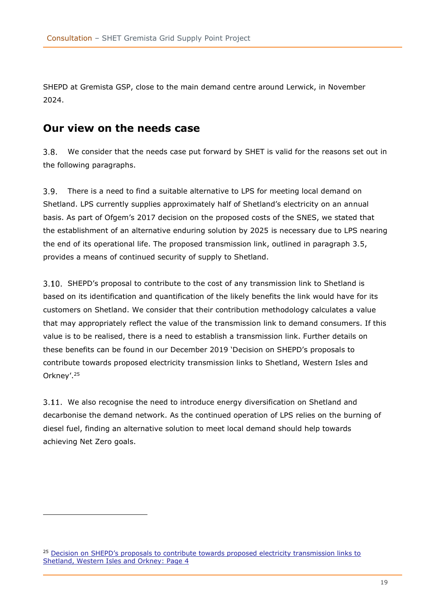SHEPD at Gremista GSP, close to the main demand centre around Lerwick, in November 2024.

### <span id="page-18-0"></span>**Our view on the needs case**

 $3.8.$ We consider that the needs case put forward by SHET is valid for the reasons set out in the following paragraphs.

 $3.9.$ There is a need to find a suitable alternative to LPS for meeting local demand on Shetland. LPS currently supplies approximately half of Shetland's electricity on an annual basis. As part of Ofgem's 2017 decision on the proposed costs of the SNES, we stated that the establishment of an alternative enduring solution by 2025 is necessary due to LPS nearing the end of its operational life. The proposed transmission link, outlined in paragraph [3.5,](#page-17-0) provides a means of continued security of supply to Shetland.

SHEPD's proposal to contribute to the cost of any transmission link to Shetland is based on its identification and quantification of the likely benefits the link would have for its customers on Shetland. We consider that their contribution methodology calculates a value that may appropriately reflect the value of the transmission link to demand consumers. If this value is to be realised, there is a need to establish a transmission link. Further details on these benefits can be found in our December 2019 'Decision on SHEPD's proposals to contribute towards proposed electricity transmission links to Shetland, Western Isles and Orkney'.<sup>25</sup>

We also recognise the need to introduce energy diversification on Shetland and decarbonise the demand network. As the continued operation of LPS relies on the burning of diesel fuel, finding an alternative solution to meet local demand should help towards achieving Net Zero goals.

<sup>&</sup>lt;sup>25</sup> Decision on SHEPD's proposals to contribute towards proposed electricity transmission links to [Shetland, Western Isles and Orkney: Page 4](https://www.ofgem.gov.uk/sites/default/files/docs/2019/12/20191217_shepd_contribution_decision_accessible.pdf#page=4)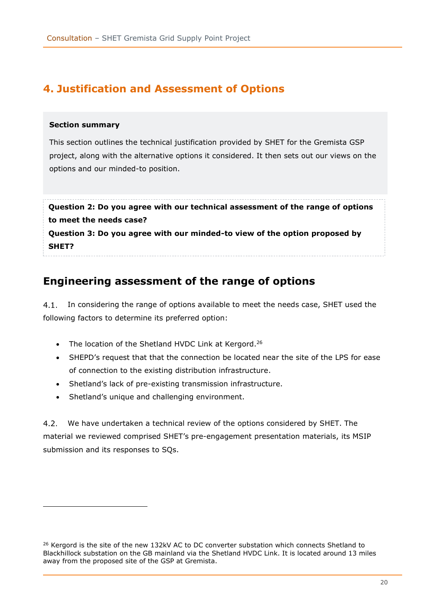# <span id="page-19-0"></span>**4. Justification and Assessment of Options**

#### <span id="page-19-1"></span>**Section summary**

This section outlines the technical justification provided by SHET for the Gremista GSP project, along with the alternative options it considered. It then sets out our views on the options and our minded-to position.

**Question 2: Do you agree with our technical assessment of the range of options to meet the needs case? Question 3: Do you agree with our minded-to view of the option proposed by SHET?**

### <span id="page-19-2"></span>**Engineering assessment of the range of options**

4.1. In considering the range of options available to meet the needs case, SHET used the following factors to determine its preferred option:

- The location of the Shetland HVDC Link at Kergord.<sup>26</sup>
- SHEPD's request that that the connection be located near the site of the LPS for ease of connection to the existing distribution infrastructure.
- Shetland's lack of pre-existing transmission infrastructure.
- Shetland's unique and challenging environment.

We have undertaken a technical review of the options considered by SHET. The material we reviewed comprised SHET's pre-engagement presentation materials, its MSIP submission and its responses to SQs.

<sup>&</sup>lt;sup>26</sup> Kergord is the site of the new 132kV AC to DC converter substation which connects Shetland to Blackhillock substation on the GB mainland via the Shetland HVDC Link. It is located around 13 miles away from the proposed site of the GSP at Gremista.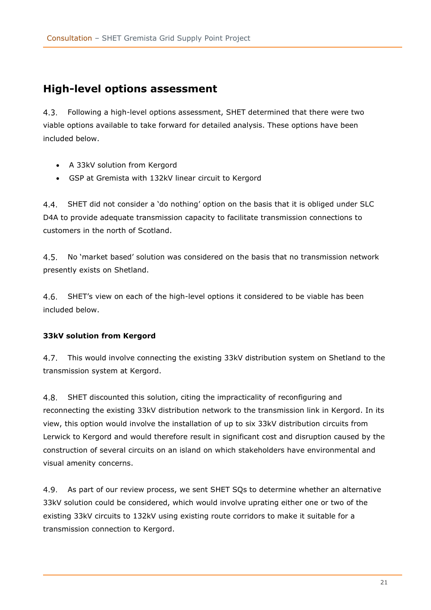### <span id="page-20-0"></span>**High-level options assessment**

Following a high-level options assessment, SHET determined that there were two  $4.3.$ viable options available to take forward for detailed analysis. These options have been included below.

- A 33kV solution from Kergord
- GSP at Gremista with 132kV linear circuit to Kergord

 $4.4.$ SHET did not consider a 'do nothing' option on the basis that it is obliged under SLC D4A to provide adequate transmission capacity to facilitate transmission connections to customers in the north of Scotland.

 $4.5.$ No 'market based' solution was considered on the basis that no transmission network presently exists on Shetland.

4.6. SHET's view on each of the high-level options it considered to be viable has been included below.

#### <span id="page-20-1"></span>**33kV solution from Kergord**

 $4.7.$ This would involve connecting the existing 33kV distribution system on Shetland to the transmission system at Kergord.

 $4.8.$ SHET discounted this solution, citing the impracticality of reconfiguring and reconnecting the existing 33kV distribution network to the transmission link in Kergord. In its view, this option would involve the installation of up to six 33kV distribution circuits from Lerwick to Kergord and would therefore result in significant cost and disruption caused by the construction of several circuits on an island on which stakeholders have environmental and visual amenity concerns.

 $4.9.$ As part of our review process, we sent SHET SQs to determine whether an alternative 33kV solution could be considered, which would involve uprating either one or two of the existing 33kV circuits to 132kV using existing route corridors to make it suitable for a transmission connection to Kergord.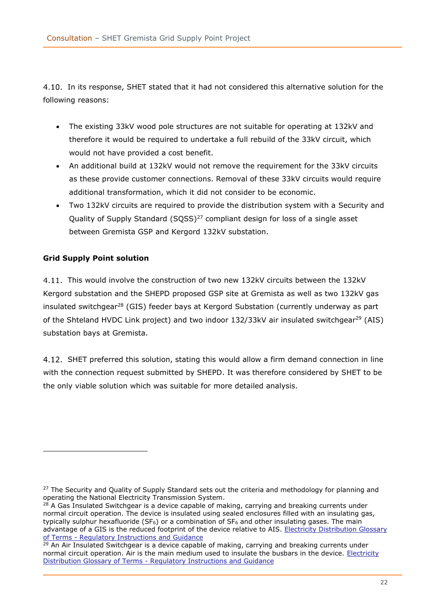<span id="page-21-1"></span>4.10. In its response, SHET stated that it had not considered this alternative solution for the following reasons:

- The existing 33kV wood pole structures are not suitable for operating at 132kV and therefore it would be required to undertake a full rebuild of the 33kV circuit, which would not have provided a cost benefit.
- An additional build at 132kV would not remove the requirement for the 33kV circuits as these provide customer connections. Removal of these 33kV circuits would require additional transformation, which it did not consider to be economic.
- Two 132kV circuits are required to provide the distribution system with a Security and Quality of Supply Standard (SQSS)<sup>27</sup> compliant design for loss of a single asset between Gremista GSP and Kergord 132kV substation.

#### <span id="page-21-0"></span>**Grid Supply Point solution**

This would involve the construction of two new 132kV circuits between the 132kV Kergord substation and the SHEPD proposed GSP site at Gremista as well as two 132kV gas insulated switchgear<sup>28</sup> (GIS) feeder bays at Kergord Substation (currently underway as part of the Shteland HVDC Link project) and two indoor  $132/33kV$  air insulated switchgear<sup>29</sup> (AIS) substation bays at Gremista.

4.12. SHET preferred this solution, stating this would allow a firm demand connection in line with the connection request submitted by SHEPD. It was therefore considered by SHET to be the only viable solution which was suitable for more detailed analysis.

<sup>&</sup>lt;sup>27</sup> The Security and Quality of Supply Standard sets out the criteria and methodology for planning and operating the National Electricity Transmission System.

<sup>&</sup>lt;sup>28</sup> A Gas Insulated Switchgear is a device capable of making, carrying and breaking currents under normal circuit operation. The device is insulated using sealed enclosures filled with an insulating gas, typically sulphur hexafluoride (SF $_6$ ) or a combination of SF $_6$  and other insulating gases. The main advantage of a GIS is the reduced footprint of the device relative to AIS. [Electricity Distribution Glossary](https://www.ofgem.gov.uk/sites/default/files/docs/2012/02/dpcr5_glossary_of_terms_clean%5B1%5D.pdf)  of Terms - [Regulatory Instructions and Guidance](https://www.ofgem.gov.uk/sites/default/files/docs/2012/02/dpcr5_glossary_of_terms_clean%5B1%5D.pdf)

 $29$  An Air Insulated Switchgear is a device capable of making, carrying and breaking currents under normal circuit operation. Air is the main medium used to insulate the busbars in the device. [Electricity](https://www.ofgem.gov.uk/sites/default/files/docs/2012/02/dpcr5_glossary_of_terms_clean%5B1%5D.pdf)  Distribution Glossary of Terms - [Regulatory Instructions and Guidance](https://www.ofgem.gov.uk/sites/default/files/docs/2012/02/dpcr5_glossary_of_terms_clean%5B1%5D.pdf)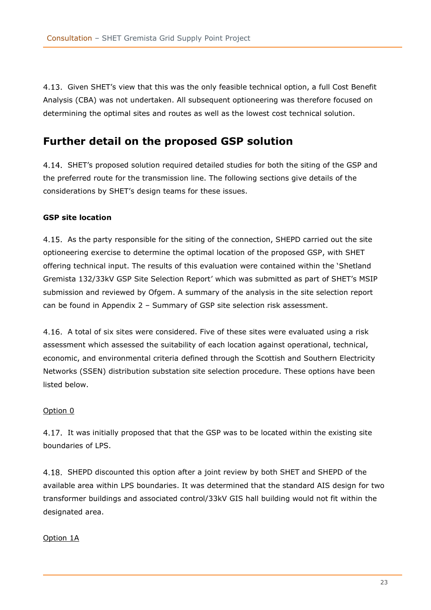4.13. Given SHET's view that this was the only feasible technical option, a full Cost Benefit Analysis (CBA) was not undertaken. All subsequent optioneering was therefore focused on determining the optimal sites and routes as well as the lowest cost technical solution.

### <span id="page-22-0"></span>**Further detail on the proposed GSP solution**

4.14. SHET's proposed solution required detailed studies for both the siting of the GSP and the preferred route for the transmission line. The following sections give details of the considerations by SHET's design teams for these issues.

#### <span id="page-22-1"></span>**GSP site location**

4.15. As the party responsible for the siting of the connection, SHEPD carried out the site optioneering exercise to determine the optimal location of the proposed GSP, with SHET offering technical input. The results of this evaluation were contained within the 'Shetland Gremista 132/33kV GSP Site Selection Report' which was submitted as part of SHET's MSIP submission and reviewed by Ofgem. A summary of the analysis in the site selection report can be found in Appendix 2 – [Summary of GSP site selection risk assessment.](#page-34-0)

A total of six sites were considered. Five of these sites were evaluated using a risk assessment which assessed the suitability of each location against operational, technical, economic, and environmental criteria defined through the Scottish and Southern Electricity Networks (SSEN) distribution substation site selection procedure. These options have been listed below.

#### <span id="page-22-2"></span>Option 0

4.17. It was initially proposed that that the GSP was to be located within the existing site boundaries of LPS.

4.18. SHEPD discounted this option after a joint review by both SHET and SHEPD of the available area within LPS boundaries. It was determined that the standard AIS design for two transformer buildings and associated control/33kV GIS hall building would not fit within the designated area.

#### <span id="page-22-3"></span>Option 1A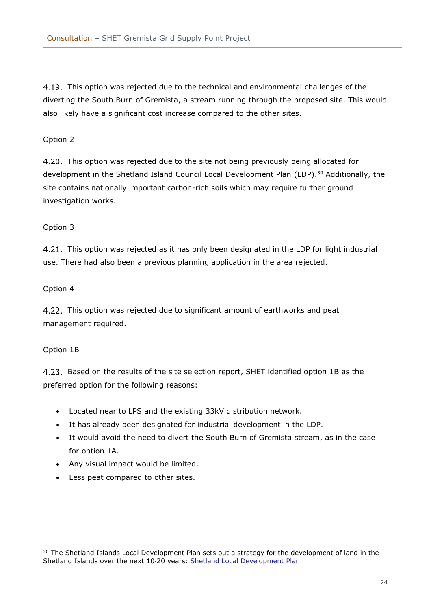4.19. This option was rejected due to the technical and environmental challenges of the diverting the South Burn of Gremista, a stream running through the proposed site. This would also likely have a significant cost increase compared to the other sites.

#### <span id="page-23-0"></span>Option 2

4.20. This option was rejected due to the site not being previously being allocated for development in the Shetland Island Council Local Development Plan (LDP). <sup>30</sup> Additionally, the site contains nationally important carbon-rich soils which may require further ground investigation works.

#### <span id="page-23-1"></span>Option 3

4.21. This option was rejected as it has only been designated in the LDP for light industrial use. There had also been a previous planning application in the area rejected.

#### <span id="page-23-2"></span>Option 4

4.22. This option was rejected due to significant amount of earthworks and peat management required.

#### <span id="page-23-3"></span>Option 1B

<span id="page-23-4"></span>Based on the results of the site selection report, SHET identified option 1B as the preferred option for the following reasons:

- Located near to LPS and the existing 33kV distribution network.
- It has already been designated for industrial development in the LDP.
- It would avoid the need to divert the South Burn of Gremista stream, as in the case for option 1A.
- Any visual impact would be limited.
- Less peat compared to other sites.

<sup>&</sup>lt;sup>30</sup> The Shetland Islands Local Development Plan sets out a strategy for the development of land in the Shetland Islands over the next 10-20 years: [Shetland Local Development Plan](https://www.shetland.gov.uk/downloads/file/1930/local-development-plan-2014)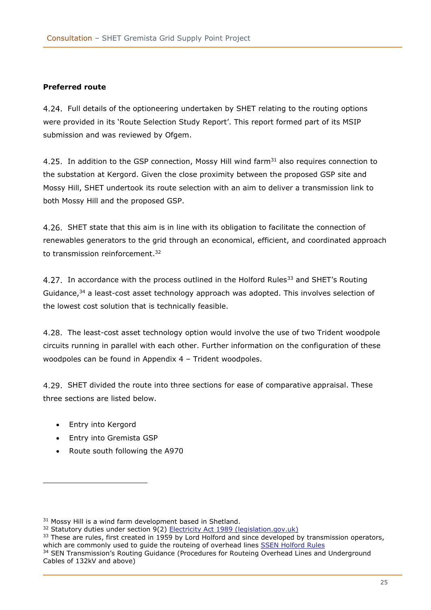#### <span id="page-24-0"></span>**Preferred route**

Full details of the optioneering undertaken by SHET relating to the routing options were provided in its 'Route Selection Study Report'. This report formed part of its MSIP submission and was reviewed by Ofgem.

4.25. In addition to the GSP connection, Mossy Hill wind farm<sup>31</sup> also requires connection to the substation at Kergord. Given the close proximity between the proposed GSP site and Mossy Hill, SHET undertook its route selection with an aim to deliver a transmission link to both Mossy Hill and the proposed GSP.

4.26. SHET state that this aim is in line with its obligation to facilitate the connection of renewables generators to the grid through an economical, efficient, and coordinated approach to transmission reinforcement.<sup>32</sup>

4.27. In accordance with the process outlined in the Holford Rules<sup>33</sup> and SHET's Routing Guidance,<sup>34</sup> a least-cost asset technology approach was adopted. This involves selection of the lowest cost solution that is technically feasible.

4.28. The least-cost asset technology option would involve the use of two Trident woodpole circuits running in parallel with each other. Further information on the configuration of these woodpoles can be found in Appendix 4 – [Trident woodpoles.](#page-39-0)

4.29. SHET divided the route into three sections for ease of comparative appraisal. These three sections are listed below.

- Entry into Kergord
- Entry into Gremista GSP
- Route south following the A970

<sup>&</sup>lt;sup>31</sup> Mossy Hill is a wind farm development based in Shetland.

<sup>&</sup>lt;sup>32</sup> Statutory duties under section 9(2) [Electricity Act 1989 \(legislation.gov.uk\)](https://www.legislation.gov.uk/ukpga/1989/29/contents)

<sup>&</sup>lt;sup>33</sup> These are rules, first created in 1959 by Lord Holford and since developed by transmission operators, which are commonly used to guide the routeing of overhead lines [SSEN Holford Rules](https://www.ssen-transmission.co.uk/media/4177/volume-4-appendix-21-holford-rules.pdf) <sup>34</sup> SEN Transmission's Routing Guidance (Procedures for Routeing Overhead Lines and Underground

Cables of 132kV and above)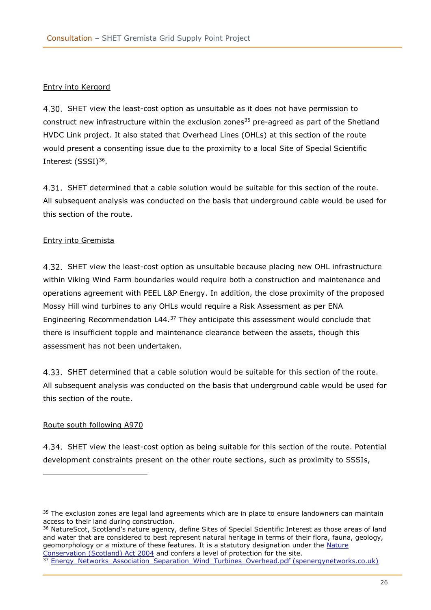#### <span id="page-25-0"></span>Entry into Kergord

4.30. SHET view the least-cost option as unsuitable as it does not have permission to construct new infrastructure within the exclusion zones<sup>35</sup> pre-agreed as part of the Shetland HVDC Link project. It also stated that Overhead Lines (OHLs) at this section of the route would present a consenting issue due to the proximity to a local Site of Special Scientific Interest (SSSI)<sup>36</sup>.

4.31. SHET determined that a cable solution would be suitable for this section of the route. All subsequent analysis was conducted on the basis that underground cable would be used for this section of the route.

#### Entry into Gremista

4.32. SHET view the least-cost option as unsuitable because placing new OHL infrastructure within Viking Wind Farm boundaries would require both a construction and maintenance and operations agreement with PEEL L&P Energy. In addition, the close proximity of the proposed Mossy Hill wind turbines to any OHLs would require a Risk Assessment as per ENA Engineering Recommendation L44.<sup>37</sup> They anticipate this assessment would conclude that there is insufficient topple and maintenance clearance between the assets, though this assessment has not been undertaken.

SHET determined that a cable solution would be suitable for this section of the route. All subsequent analysis was conducted on the basis that underground cable would be used for this section of the route.

#### <span id="page-25-1"></span>Route south following A970

4.34. SHET view the least-cost option as being suitable for this section of the route. Potential development constraints present on the other route sections, such as proximity to SSSIs,

36 NatureScot, Scotland's nature agency, define Sites of Special Scientific Interest as those areas of land and water that are considered to best represent natural heritage in terms of their flora, fauna, geology, geomorphology or a mixture of these features. It is a statutory designation under the Nature [Conservation \(Scotland\) Act 2004](https://www.legislation.gov.uk/asp/2004/6/contents) and confers a level of protection for the site.

<sup>&</sup>lt;sup>35</sup> The exclusion zones are legal land agreements which are in place to ensure landowners can maintain access to their land during construction.

<sup>37</sup> Energy Networks Association Separation Wind Turbines Overhead.pdf (spenergynetworks.co.uk)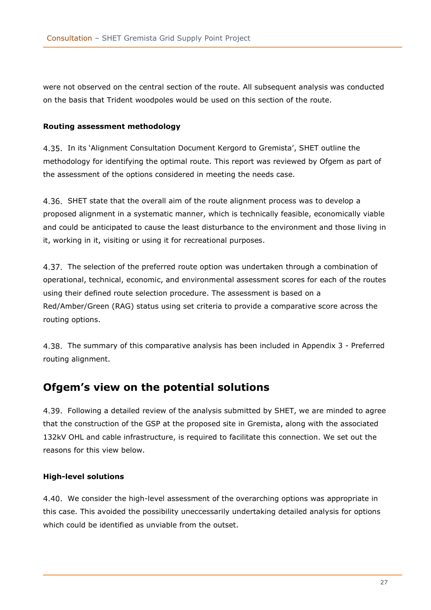were not observed on the central section of the route. All subsequent analysis was conducted on the basis that Trident woodpoles would be used on this section of the route.

#### <span id="page-26-0"></span>**Routing assessment methodology**

4.35. In its 'Alignment Consultation Document Kergord to Gremista', SHET outline the methodology for identifying the optimal route. This report was reviewed by Ofgem as part of the assessment of the options considered in meeting the needs case.

4.36. SHET state that the overall aim of the route alignment process was to develop a proposed alignment in a systematic manner, which is technically feasible, economically viable and could be anticipated to cause the least disturbance to the environment and those living in it, working in it, visiting or using it for recreational purposes.

4.37. The selection of the preferred route option was undertaken through a combination of operational, technical, economic, and environmental assessment scores for each of the routes using their defined route selection procedure. The assessment is based on a Red/Amber/Green (RAG) status using set criteria to provide a comparative score across the routing options.

The summary of this comparative analysis has been included in Appendix 3 - Preferred routing alignment.

### <span id="page-26-1"></span>**Ofgem's view on the potential solutions**

Following a detailed review of the analysis submitted by SHET, we are minded to agree that the construction of the GSP at the proposed site in Gremista, along with the associated 132kV OHL and cable infrastructure, is required to facilitate this connection. We set out the reasons for this view below.

#### <span id="page-26-2"></span>**High-level solutions**

4.40. We consider the high-level assessment of the overarching options was appropriate in this case. This avoided the possibility uneccessarily undertaking detailed analysis for options which could be identified as unviable from the outset.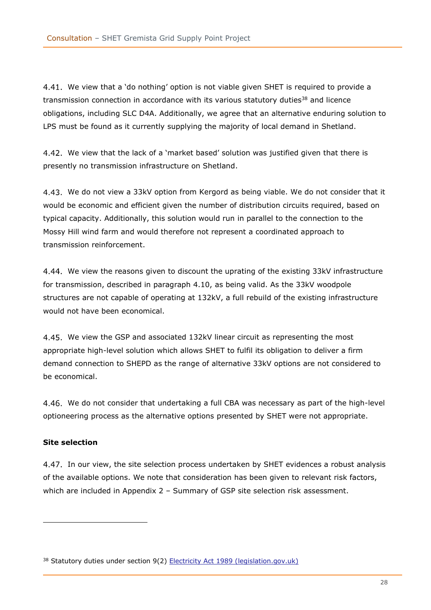We view that a 'do nothing' option is not viable given SHET is required to provide a transmission connection in accordance with its various statutory duties<sup>38</sup> and licence obligations, including SLC D4A. Additionally, we agree that an alternative enduring solution to LPS must be found as it currently supplying the majority of local demand in Shetland.

4.42. We view that the lack of a 'market based' solution was justified given that there is presently no transmission infrastructure on Shetland.

4.43. We do not view a 33kV option from Kergord as being viable. We do not consider that it would be economic and efficient given the number of distribution circuits required, based on typical capacity. Additionally, this solution would run in parallel to the connection to the Mossy Hill wind farm and would therefore not represent a coordinated approach to transmission reinforcement.

4.44. We view the reasons given to discount the uprating of the existing 33kV infrastructure for transmission, described in paragraph [4.10,](#page-21-1) as being valid. As the 33kV woodpole structures are not capable of operating at 132kV, a full rebuild of the existing infrastructure would not have been economical.

4.45. We view the GSP and associated 132kV linear circuit as representing the most appropriate high-level solution which allows SHET to fulfil its obligation to deliver a firm demand connection to SHEPD as the range of alternative 33kV options are not considered to be economical.

We do not consider that undertaking a full CBA was necessary as part of the high-level optioneering process as the alternative options presented by SHET were not appropriate.

#### <span id="page-27-0"></span>**Site selection**

4.47. In our view, the site selection process undertaken by SHET evidences a robust analysis of the available options. We note that consideration has been given to relevant risk factors, which are included in Appendix 2 - [Summary of GSP site selection risk assessment.](#page-34-0)

<sup>38</sup> Statutory duties under section 9(2) [Electricity Act 1989 \(legislation.gov.uk\)](https://www.legislation.gov.uk/ukpga/1989/29/contents)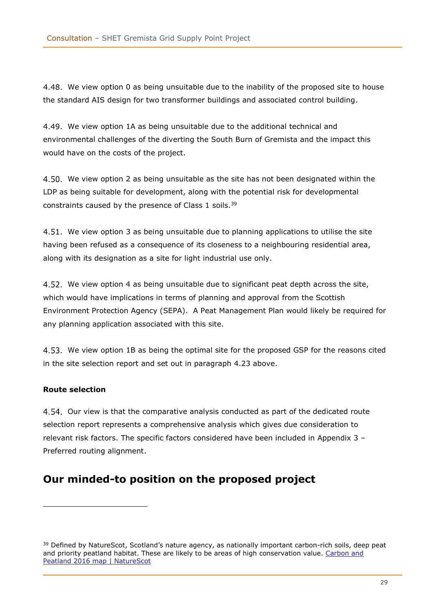We view option 0 as being unsuitable due to the inability of the proposed site to house the standard AIS design for two transformer buildings and associated control building.

We view option 1A as being unsuitable due to the additional technical and environmental challenges of the diverting the South Burn of Gremista and the impact this would have on the costs of the project.

4.50. We view option 2 as being unsuitable as the site has not been designated within the LDP as being suitable for development, along with the potential risk for developmental constraints caused by the presence of Class 1 soils.<sup>39</sup>

4.51. We view option 3 as being unsuitable due to planning applications to utilise the site having been refused as a consequence of its closeness to a neighbouring residential area, along with its designation as a site for light industrial use only.

We view option 4 as being unsuitable due to significant peat depth across the site, which would have implications in terms of planning and approval from the Scottish Environment Protection Agency (SEPA). A Peat Management Plan would likely be required for any planning application associated with this site.

We view option 1B as being the optimal site for the proposed GSP for the reasons cited in the site selection report and set out in paragraph [4.23](#page-23-4) above.

#### <span id="page-28-0"></span>**Route selection**

4.54. Our view is that the comparative analysis conducted as part of the dedicated route selection report represents a comprehensive analysis which gives due consideration to relevant risk factors. The specific factors considered have been included in [Appendix 3](#page-35-0) – [Preferred routing alignment.](#page-35-0)

## <span id="page-28-1"></span>**Our minded-to position on the proposed project**

<sup>&</sup>lt;sup>39</sup> Defined by NatureScot, Scotland's nature agency, as nationally important carbon-rich soils, deep peat and priority peatland habitat. These are likely to be areas of high conservation value. [Carbon and](https://www.nature.scot/professional-advice/planning-and-development/planning-and-development-advice/soils/carbon-and-peatland-2016-map)  [Peatland 2016 map | NatureScot](https://www.nature.scot/professional-advice/planning-and-development/planning-and-development-advice/soils/carbon-and-peatland-2016-map)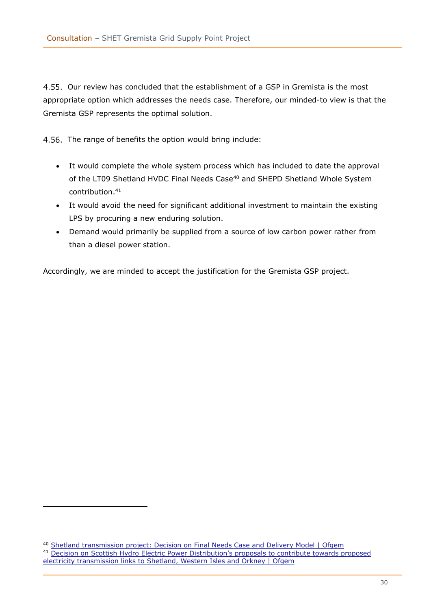4.55. Our review has concluded that the establishment of a GSP in Gremista is the most appropriate option which addresses the needs case. Therefore, our minded-to view is that the Gremista GSP represents the optimal solution.

4.56. The range of benefits the option would bring include:

- It would complete the whole system process which has included to date the approval of the LT09 Shetland HVDC Final Needs Case<sup>40</sup> and SHEPD Shetland Whole System contribution. 41
- It would avoid the need for significant additional investment to maintain the existing LPS by procuring a new enduring solution.
- Demand would primarily be supplied from a source of low carbon power rather from than a diesel power station.

Accordingly, we are minded to accept the justification for the Gremista GSP project.

<sup>&</sup>lt;sup>40</sup> [Shetland transmission project: Decision on Final Needs Case and Delivery Model | Ofgem](https://www.ofgem.gov.uk/publications/shetland-transmission-project-decision-final-needs-case-and-delivery-model) <sup>41</sup> [Decision on Scottish Hydro Electric Power Distribution's proposals to contribute towards proposed](https://www.ofgem.gov.uk/publications/decision-scottish-hydro-electric-power-distributions-proposals-contribute-towards-proposed-electricity-transmission-links-shetland-western-isles-and-orkney) 

[electricity transmission links to Shetland, Western Isles and Orkney | Ofgem](https://www.ofgem.gov.uk/publications/decision-scottish-hydro-electric-power-distributions-proposals-contribute-towards-proposed-electricity-transmission-links-shetland-western-isles-and-orkney)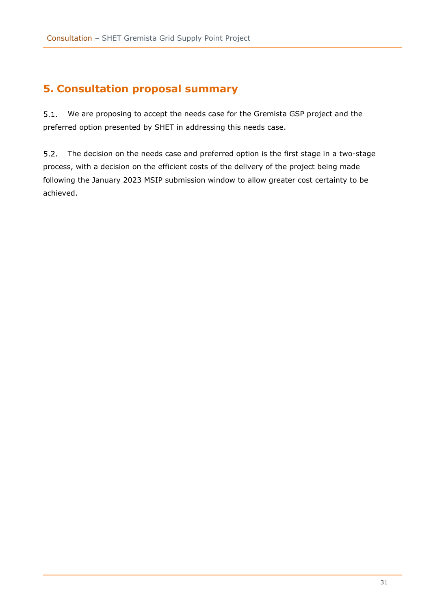# <span id="page-30-0"></span>**5. Consultation proposal summary**

 $5.1.$ We are proposing to accept the needs case for the Gremista GSP project and the preferred option presented by SHET in addressing this needs case.

The decision on the needs case and preferred option is the first stage in a two-stage  $5.2.$ process, with a decision on the efficient costs of the delivery of the project being made following the January 2023 MSIP submission window to allow greater cost certainty to be achieved.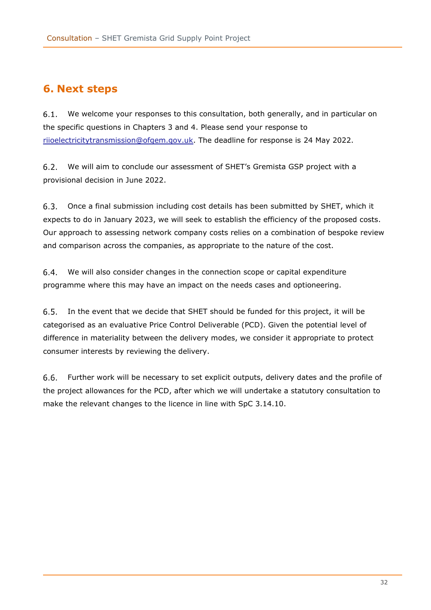# <span id="page-31-0"></span>**6. Next steps**

 $6.1.$ We welcome your responses to this consultation, both generally, and in particular on the specific questions in Chapters 3 and 4. Please send your response to [riioelectricitytransmission@ofgem.gov.uk.](mailto:riioelectricitytransmission@ofgem.gov.uk) The deadline for response is 24 May 2022.

 $6.2.$ We will aim to conclude our assessment of SHET's Gremista GSP project with a provisional decision in June 2022.

6.3. Once a final submission including cost details has been submitted by SHET, which it expects to do in January 2023, we will seek to establish the efficiency of the proposed costs. Our approach to assessing network company costs relies on a combination of bespoke review and comparison across the companies, as appropriate to the nature of the cost.

 $6.4.$ We will also consider changes in the connection scope or capital expenditure programme where this may have an impact on the needs cases and optioneering.

In the event that we decide that SHET should be funded for this project, it will be  $6.5.$ categorised as an evaluative Price Control Deliverable (PCD). Given the potential level of difference in materiality between the delivery modes, we consider it appropriate to protect consumer interests by reviewing the delivery.

 $6.6.$ Further work will be necessary to set explicit outputs, delivery dates and the profile of the project allowances for the PCD, after which we will undertake a statutory consultation to make the relevant changes to the licence in line with SpC 3.14.10.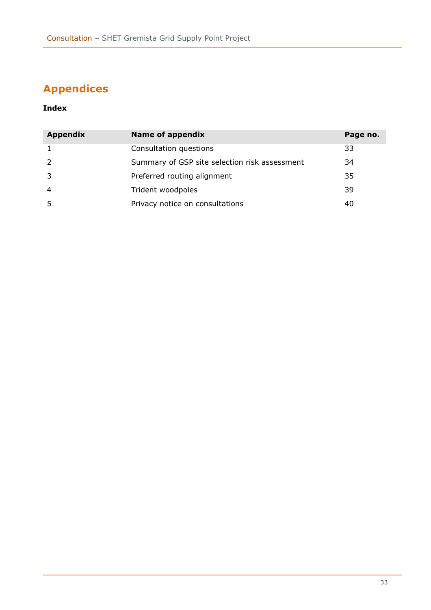# <span id="page-32-0"></span>**Appendices**

### **Index**

| <b>Appendix</b> | <b>Name of appendix</b>                       | Page no. |
|-----------------|-----------------------------------------------|----------|
|                 | Consultation questions                        | 33       |
|                 | Summary of GSP site selection risk assessment | 34       |
|                 | Preferred routing alignment                   | 35       |
|                 | Trident woodpoles                             | 39       |
|                 | Privacy notice on consultations               | 40       |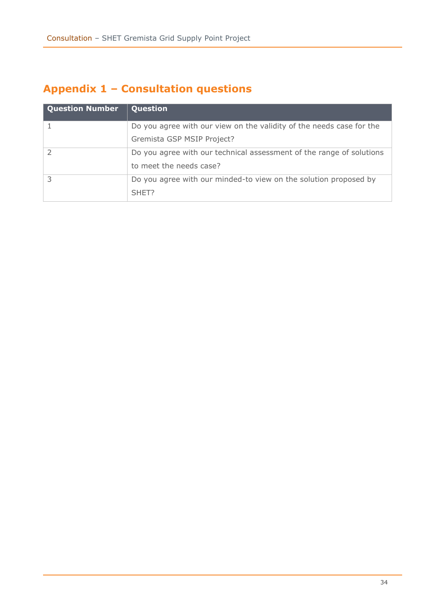# <span id="page-33-0"></span>**Appendix 1 – Consultation questions**

| <b>Question Number</b> | Question                                                             |
|------------------------|----------------------------------------------------------------------|
|                        | Do you agree with our view on the validity of the needs case for the |
|                        | Gremista GSP MSIP Project?                                           |
|                        | Do you agree with our technical assessment of the range of solutions |
|                        | to meet the needs case?                                              |
|                        | Do you agree with our minded-to view on the solution proposed by     |
|                        | SHET?                                                                |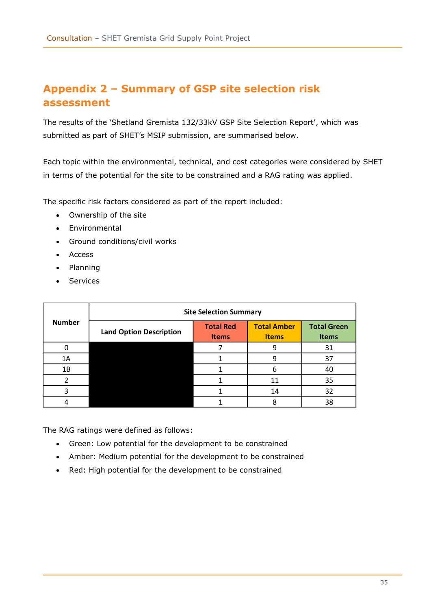# <span id="page-34-0"></span>**Appendix 2 – Summary of GSP site selection risk assessment**

The results of the 'Shetland Gremista 132/33kV GSP Site Selection Report', which was submitted as part of SHET's MSIP submission, are summarised below.

Each topic within the environmental, technical, and cost categories were considered by SHET in terms of the potential for the site to be constrained and a RAG rating was applied.

The specific risk factors considered as part of the report included:

- Ownership of the site
- Environmental
- Ground conditions/civil works
- Access
- Planning
- **Services**

|               |                                | <b>Site Selection Summary</b>    |                                    |                                    |
|---------------|--------------------------------|----------------------------------|------------------------------------|------------------------------------|
| <b>Number</b> | <b>Land Option Description</b> | <b>Total Red</b><br><b>Items</b> | <b>Total Amber</b><br><b>Items</b> | <b>Total Green</b><br><b>Items</b> |
|               |                                |                                  |                                    | 31                                 |
| 1A            |                                |                                  |                                    | 37                                 |
| 1B            |                                |                                  |                                    | 40                                 |
|               |                                |                                  | 11                                 | 35                                 |
|               |                                |                                  | 14                                 | 32                                 |
|               |                                |                                  |                                    | 38                                 |

The RAG ratings were defined as follows:

- Green: Low potential for the development to be constrained
- Amber: Medium potential for the development to be constrained
- Red: High potential for the development to be constrained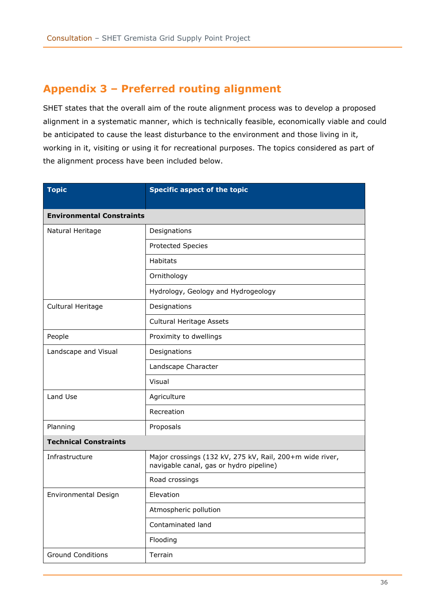# <span id="page-35-0"></span>**Appendix 3 – Preferred routing alignment**

SHET states that the overall aim of the route alignment process was to develop a proposed alignment in a systematic manner, which is technically feasible, economically viable and could be anticipated to cause the least disturbance to the environment and those living in it, working in it, visiting or using it for recreational purposes. The topics considered as part of the alignment process have been included below.

| <b>Topic</b>                     | <b>Specific aspect of the topic</b>                                                                 |
|----------------------------------|-----------------------------------------------------------------------------------------------------|
| <b>Environmental Constraints</b> |                                                                                                     |
| Natural Heritage                 | Designations                                                                                        |
|                                  | <b>Protected Species</b>                                                                            |
|                                  | <b>Habitats</b>                                                                                     |
|                                  | Ornithology                                                                                         |
|                                  | Hydrology, Geology and Hydrogeology                                                                 |
| Cultural Heritage                | Designations                                                                                        |
|                                  | Cultural Heritage Assets                                                                            |
| People                           | Proximity to dwellings                                                                              |
| Landscape and Visual             | Designations                                                                                        |
|                                  | Landscape Character                                                                                 |
|                                  | Visual                                                                                              |
| Land Use                         | Agriculture                                                                                         |
|                                  | Recreation                                                                                          |
| Planning                         | Proposals                                                                                           |
| <b>Technical Constraints</b>     |                                                                                                     |
| Infrastructure                   | Major crossings (132 kV, 275 kV, Rail, 200+m wide river,<br>navigable canal, gas or hydro pipeline) |
|                                  | Road crossings                                                                                      |
| <b>Environmental Design</b>      | Elevation                                                                                           |
|                                  | Atmospheric pollution                                                                               |
|                                  | Contaminated land                                                                                   |
|                                  | Flooding                                                                                            |
| <b>Ground Conditions</b>         | Terrain                                                                                             |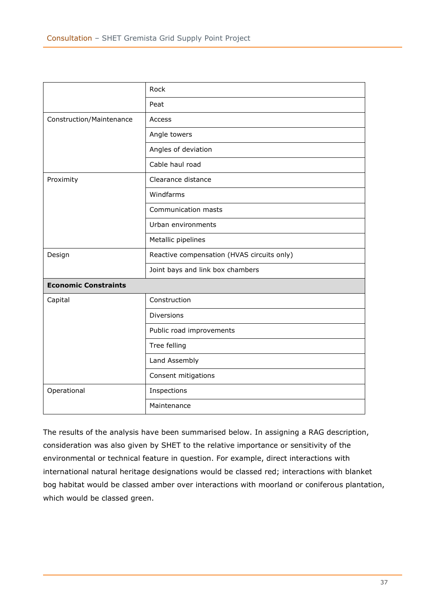|                             | Rock                                       |
|-----------------------------|--------------------------------------------|
|                             | Peat                                       |
| Construction/Maintenance    | Access                                     |
|                             | Angle towers                               |
|                             | Angles of deviation                        |
|                             | Cable haul road                            |
| Proximity                   | Clearance distance                         |
|                             | Windfarms                                  |
|                             | Communication masts                        |
|                             | Urban environments                         |
|                             | Metallic pipelines                         |
| Design                      | Reactive compensation (HVAS circuits only) |
|                             | Joint bays and link box chambers           |
| <b>Economic Constraints</b> |                                            |
| Capital                     | Construction                               |
|                             | <b>Diversions</b>                          |
|                             | Public road improvements                   |
|                             | Tree felling                               |
|                             | Land Assembly                              |
|                             | Consent mitigations                        |
| Operational                 | Inspections                                |
|                             | Maintenance                                |

The results of the analysis have been summarised below. In assigning a RAG description, consideration was also given by SHET to the relative importance or sensitivity of the environmental or technical feature in question. For example, direct interactions with international natural heritage designations would be classed red; interactions with blanket bog habitat would be classed amber over interactions with moorland or coniferous plantation, which would be classed green.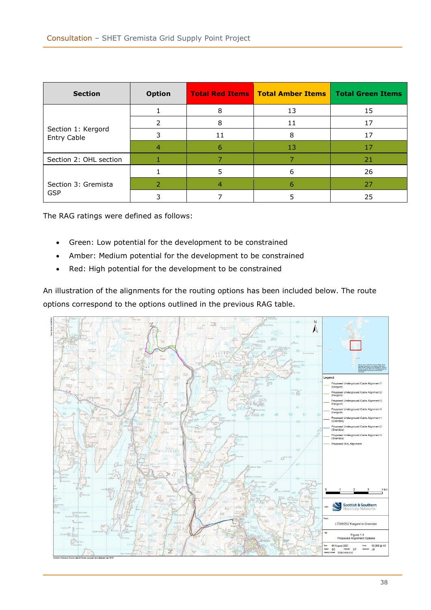| <b>Section</b>                           | <b>Option</b> |    | <b>Total Red Items   Total Amber Items  </b> | <b>Total Green Items</b> |
|------------------------------------------|---------------|----|----------------------------------------------|--------------------------|
| Section 1: Kergord<br><b>Entry Cable</b> |               | 8  | 13                                           | 15                       |
|                                          |               | 8  | 11                                           | 17                       |
|                                          |               | 11 | 8                                            | 17                       |
|                                          | 4             | 6  | 13                                           | 17                       |
| Section 2: OHL section                   |               |    |                                              | 21                       |
| Section 3: Gremista<br><b>GSP</b>        |               | 5  | 6                                            | 26                       |
|                                          |               |    |                                              | 27                       |
|                                          |               |    |                                              | 25                       |

The RAG ratings were defined as follows:

- Green: Low potential for the development to be constrained
- Amber: Medium potential for the development to be constrained
- Red: High potential for the development to be constrained

An illustration of the alignments for the routing options has been included below. The route options correspond to the options outlined in the previous RAG table.

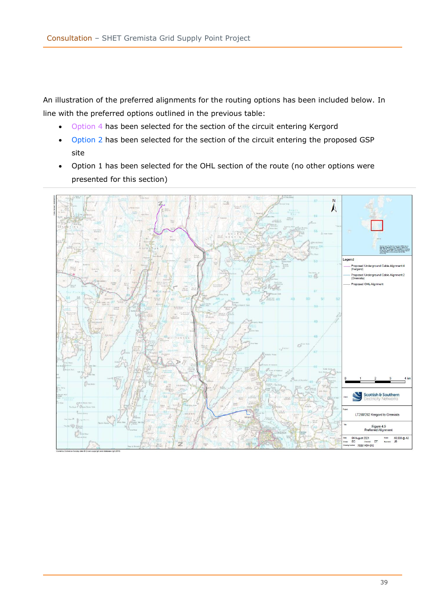An illustration of the preferred alignments for the routing options has been included below. In line with the preferred options outlined in the previous table:

- Option 4 has been selected for the section of the circuit entering Kergord
- Option 2 has been selected for the section of the circuit entering the proposed GSP site
- Option 1 has been selected for the OHL section of the route (no other options were presented for this section)

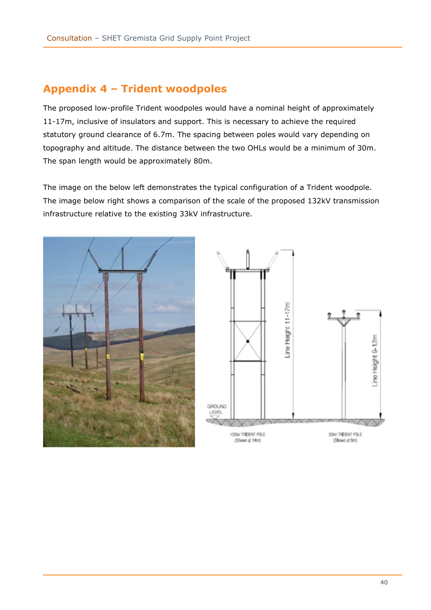# <span id="page-39-0"></span>**Appendix 4 – Trident woodpoles**

The proposed low-profile Trident woodpoles would have a nominal height of approximately 11-17m, inclusive of insulators and support. This is necessary to achieve the required statutory ground clearance of 6.7m. The spacing between poles would vary depending on topography and altitude. The distance between the two OHLs would be a minimum of 30m. The span length would be approximately 80m.

The image on the below left demonstrates the typical configuration of a Trident woodpole. The image below right shows a comparison of the scale of the proposed 132kV transmission infrastructure relative to the existing 33kV infrastructure.



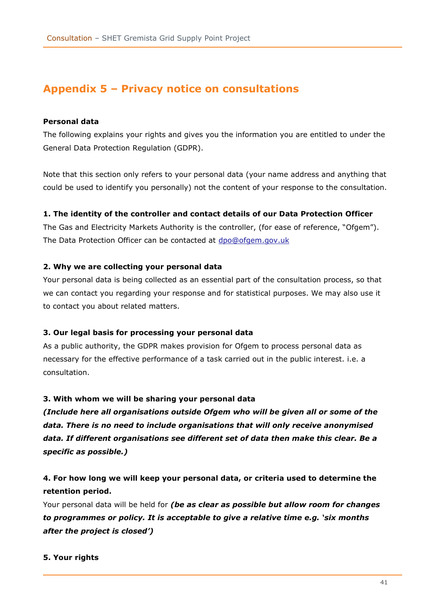## <span id="page-40-0"></span>**Appendix 5 – Privacy notice on consultations**

#### **Personal data**

The following explains your rights and gives you the information you are entitled to under the General Data Protection Regulation (GDPR).

Note that this section only refers to your personal data (your name address and anything that could be used to identify you personally) not the content of your response to the consultation.

#### **1. The identity of the controller and contact details of our Data Protection Officer**

The Gas and Electricity Markets Authority is the controller, (for ease of reference, "Ofgem"). The Data Protection Officer can be contacted at [dpo@ofgem.gov.uk](mailto:dpo@ofgem.gov.uk)

#### **2. Why we are collecting your personal data**

Your personal data is being collected as an essential part of the consultation process, so that we can contact you regarding your response and for statistical purposes. We may also use it to contact you about related matters.

#### **3. Our legal basis for processing your personal data**

As a public authority, the GDPR makes provision for Ofgem to process personal data as necessary for the effective performance of a task carried out in the public interest. i.e. a consultation.

#### **3. With whom we will be sharing your personal data**

*(Include here all organisations outside Ofgem who will be given all or some of the data. There is no need to include organisations that will only receive anonymised data. If different organisations see different set of data then make this clear. Be a specific as possible.)*

### **4. For how long we will keep your personal data, or criteria used to determine the retention period.**

Your personal data will be held for *(be as clear as possible but allow room for changes to programmes or policy. It is acceptable to give a relative time e.g. 'six months after the project is closed')*

#### **5. Your rights**